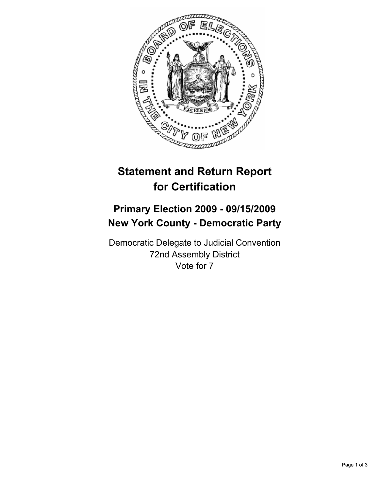

## **Statement and Return Report for Certification**

## **Primary Election 2009 - 09/15/2009 New York County - Democratic Party**

Democratic Delegate to Judicial Convention 72nd Assembly District Vote for 7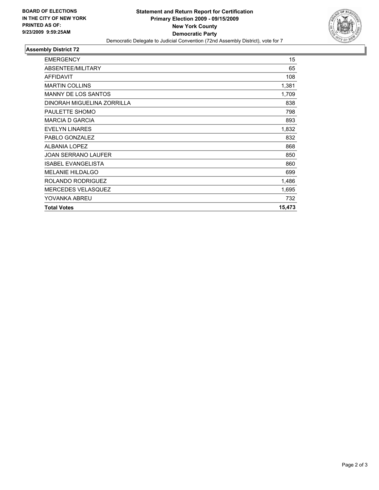

## **Assembly District 72**

| <b>EMERGENCY</b>           | 15     |
|----------------------------|--------|
| ABSENTEE/MILITARY          | 65     |
| <b>AFFIDAVIT</b>           | 108    |
| <b>MARTIN COLLINS</b>      | 1,381  |
| <b>MANNY DE LOS SANTOS</b> | 1,709  |
| DINORAH MIGUELINA ZORRILLA | 838    |
| PAULETTE SHOMO             | 798    |
| <b>MARCIA D GARCIA</b>     | 893    |
| <b>EVELYN LINARES</b>      | 1,832  |
| PABLO GONZALEZ             | 832    |
| <b>ALBANIA LOPEZ</b>       | 868    |
| JOAN SERRANO LAUFER        | 850    |
| <b>ISABEL EVANGELISTA</b>  | 860    |
| <b>MELANIE HILDALGO</b>    | 699    |
| ROLANDO RODRIGUEZ          | 1,486  |
| <b>MERCEDES VELASQUEZ</b>  | 1,695  |
| YOVANKA ABREU              | 732    |
| <b>Total Votes</b>         | 15,473 |